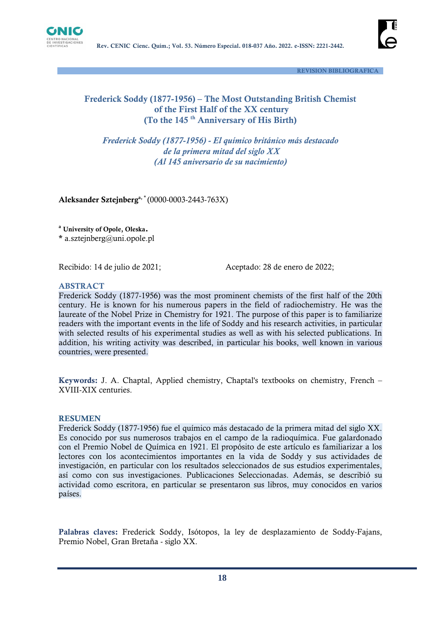



 **REVISION BIBLIOGRAFICA**

## **Frederick Soddy (1877-1956) – The Most Outstanding British Chemist of the First Half of the XX century (To the 145 th Anniversary of His Birth)**

*Frederick Soddy (1877-1956) - El químico británico más destacado de la primera mitad del siglo XX (Al 145 aniversario de su nacimiento)*

#### **Aleksander Sztejnberga, \*** (0000-0003-2443-763X)

**<sup>a</sup> University of Opole, Oleska.**

**\*** a.sztejnberg@uni.opole.pl

Recibido: 14 de julio de 2021;<br>
Aceptado: 28 de enero de 2022;

#### **ABSTRACT**

Frederick Soddy (1877-1956) was the most prominent chemists of the first half of the 20th century. He is known for his numerous papers in the field of radiochemistry. He was the laureate of the Nobel Prize in Chemistry for 1921. The purpose of this paper is to familiarize readers with the important events in the life of Soddy and his research activities, in particular with selected results of his experimental studies as well as with his selected publications. In addition, his writing activity was described, in particular his books, well known in various countries, were presented.

**Keywords:** J. A. Chaptal, Applied chemistry, Chaptal's textbooks on chemistry, French – XVIII-XIX centuries.

#### **RESUMEN**

Frederick Soddy (1877-1956) fue el químico más destacado de la primera mitad del siglo XX. Es conocido por sus numerosos trabajos en el campo de la radioquímica. Fue galardonado con el Premio Nobel de Química en 1921. El propósito de este artículo es familiarizar a los lectores con los acontecimientos importantes en la vida de Soddy y sus actividades de investigación, en particular con los resultados seleccionados de sus estudios experimentales, así como con sus investigaciones. Publicaciones Seleccionadas. Además, se describió su actividad como escritora, en particular se presentaron sus libros, muy conocidos en varios países.

**Palabras claves:** Frederick Soddy, Isótopos, la ley de desplazamiento de Soddy-Fajans, Premio Nobel, Gran Bretaña - siglo XX.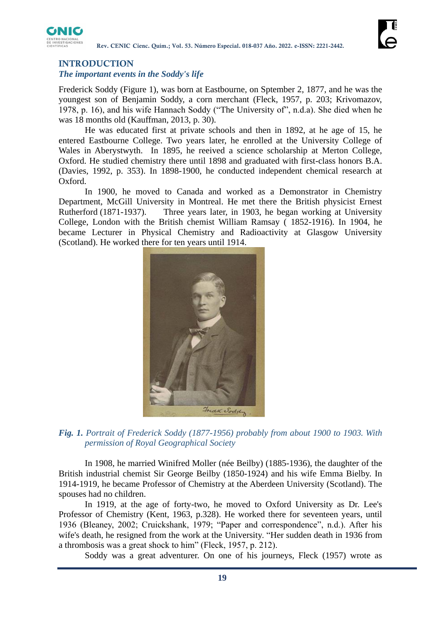

# **INTRODUCTION**

#### *The important events in the Soddy's life*

Frederick Soddy (Figure 1), was born at Eastbourne, on Sptember 2, 1877, and he was the youngest son of Benjamin Soddy, a corn merchant (Fleck, 1957, p. 203; Krivomazov, 1978, p. 16), and his wife Hannach Soddy ("The University of", n.d.a). She died when he was 18 months old (Kauffman, 2013, p. 30).

He was educated first at private schools and then in 1892, at he age of 15, he entered Eastbourne College. Two years later, he enrolled at the University College of Wales in Aberystwyth. In 1895, he reeived a science scholarship at Merton College, Oxford. He studied chemistry there until 1898 and graduated with first-class honors B.A. (Davies, 1992, p. 353). In 1898-1900, he conducted independent chemical research at Oxford.

In 1900, he moved to Canada and worked as a Demonstrator in Chemistry Department, McGill University in Montreal. He met there the British physicist Ernest Rutherford (1871-1937). Three years later, in 1903, he began working at University College, London with the British chemist William Ramsay ( 1852-1916). In 1904, he became Lecturer in Physical Chemistry and Radioactivity at Glasgow University (Scotland). He worked there for ten years until 1914.



*Fig. 1. Portrait of Frederick Soddy (1877-1956) probably from about 1900 to 1903. With permission of Royal Geographical Society*

In 1908, he married Winifred Moller (née Beilby) (1885-1936), the daughter of the British industrial chemist Sir George Beilby (1850-1924) and his wife Emma Bielby. In 1914-1919, he became Professor of Chemistry at the Aberdeen University (Scotland). The spouses had no children.

In 1919, at the age of forty-two, he moved to Oxford University as Dr. Lee's Professor of Chemistry (Kent, 1963, p.328). He worked there for seventeen years, until 1936 (Bleaney, 2002; Cruickshank, 1979; "Paper and correspondence", n.d.). After his wife's death, he resigned from the work at the University. "Her sudden death in 1936 from a thrombosis was a great shock to him" (Fleck, 1957, p. 212).

Soddy was a great adventurer. On one of his journeys, Fleck (1957) wrote as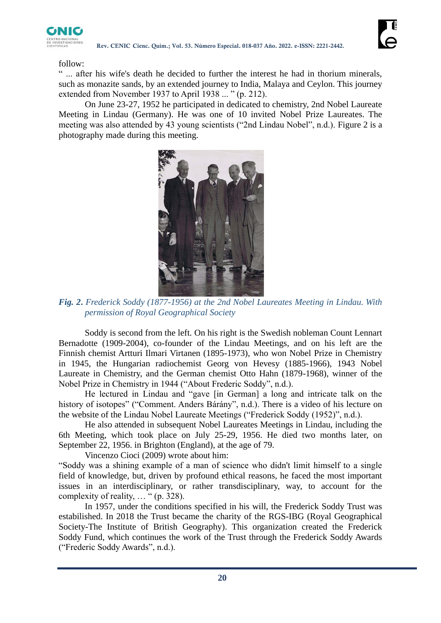

follow:

" ... after his wife's death he decided to further the interest he had in thorium minerals, such as monazite sands, by an extended journey to India, Malaya and Ceylon. This journey extended from November 1937 to April 1938 ... " (p. 212).

On June 23-27, 1952 he participated in dedicated to chemistry, 2nd Nobel Laureate Meeting in Lindau (Germany). He was one of 10 invited Nobel Prize Laureates. The meeting was also attended by 43 young scientists ("2nd Lindau Nobel", n.d.). Figure 2 is a photography made during this meeting.



*Fig. 2***.** *Frederick Soddy (1877-1956) at the 2nd Nobel Laureates Meeting in Lindau. With permission of Royal Geographical Society*

Soddy is second from the left. On his right is the Swedish nobleman Count Lennart Bernadotte (1909-2004), co-founder of the Lindau Meetings, and on his left are the Finnish chemist Artturi Ilmari Virtanen (1895-1973), who won Nobel Prize in Chemistry in 1945, the Hungarian radiochemist Georg von Hevesy (1885-1966), 1943 Nobel Laureate in Chemistry, and the German chemist Otto Hahn (1879-1968), winner of the Nobel Prize in Chemistry in 1944 ("About Frederic Soddy", n.d.).

He lectured in Lindau and "gave [in German] a long and intricate talk on the history of isotopes" ("Comment. Anders Bárány", n.d.). There is a video of his lecture on the website of the Lindau Nobel Laureate Meetings ("Frederick Soddy (1952)", n.d.).

He also attended in subsequent Nobel Laureates Meetings in Lindau, including the 6th Meeting, which took place on July 25-29, 1956. He died two months later, on September 22, 1956. in Brighton (England), at the age of 79.

Vincenzo Cioci (2009) wrote about him:

"Soddy was a shining example of a man of science who didn't limit himself to a single field of knowledge, but, driven by profound ethical reasons, he faced the most important issues in an interdisciplinary, or rather transdisciplinary, way, to account for the complexity of reality, … " (p. 328).

In 1957, under the conditions specified in his will, the Frederick Soddy Trust was estabilished. In 2018 the Trust became the charity of the RGS-IBG (Royal Geographical Society-The Institute of British Geography). This organization created the Frederick Soddy Fund, which continues the work of the Trust through the Frederick Soddy Awards ("Frederic Soddy Awards", n.d.).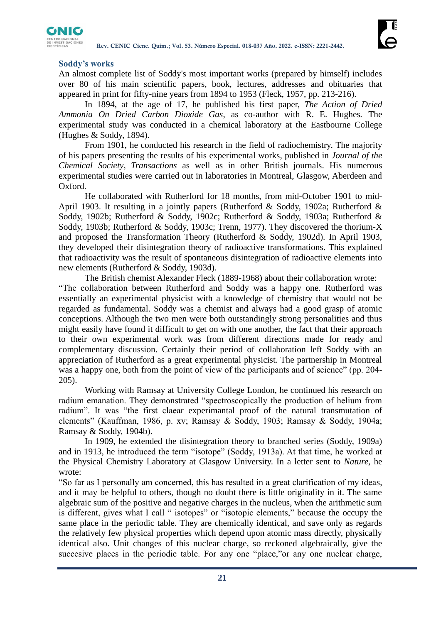

# **Soddy's works**

An almost complete list of Soddy's most important works (prepared by himself) includes over 80 of his main scientific papers, book, lectures, addresses and obituaries that appeared in print for fifty-nine years from 1894 to 1953 (Fleck, 1957, pp. 213-216).

In 1894, at the age of 17, he published his first paper, *The Action of Dried Ammonia On Dried Carbon Dioxide Gas*, as co-author with R. E. Hughes*.* The experimental study was conducted in a chemical laboratory at the Eastbourne College (Hughes & Soddy, 1894).

From 1901, he conducted his research in the field of radiochemistry. The majority of his papers presenting the results of his experimental works, published in *Journal of the Chemical Society*, *Transactions* as well as in other British journals. His numerous experimental studies were carried out in laboratories in Montreal, Glasgow, Aberdeen and Oxford.

He collaborated with Rutherford for 18 months, from mid-October 1901 to mid-April 1903. It resulting in a jointly papers (Rutherford & Soddy, 1902a; Rutherford & Soddy, 1902b; Rutherford & Soddy, 1902c; Rutherford & Soddy, 1903a; Rutherford & Soddy, 1903b; Rutherford & Soddy, 1903c; Trenn, 1977). They discovered the thorium-X and proposed the Transformation Theory (Rutherford & Soddy, 1902d). In April 1903, they developed their disintegration theory of radioactive transformations. This explained that radioactivity was the result of spontaneous disintegration of radioactive elements into new elements (Rutherford & Soddy, 1903d).

The British chemist Alexander Fleck (1889-1968) about their collaboration wrote: "The collaboration between Rutherford and Soddy was a happy one. Rutherford was essentially an experimental physicist with a knowledge of chemistry that would not be regarded as fundamental. Soddy was a chemist and always had a good grasp of atomic conceptions. Although the two men were both outstandingly strong personalities and thus might easily have found it difficult to get on with one another, the fact that their approach to their own experimental work was from different directions made for ready and complementary discussion. Certainly their period of collaboration left Soddy with an appreciation of Rutherford as a great experimental physicist. The partnership in Montreal was a happy one, both from the point of view of the participants and of science" (pp. 204- 205).

Working with Ramsay at University College London, he continued his research on radium emanation. They demonstrated "spectroscopically the production of helium from radium". It was "the first claear experimantal proof of the natural transmutation of elements" (Kauffman, 1986, p. xv; Ramsay & Soddy, 1903; Ramsay & Soddy, 1904a; Ramsay & Soddy, 1904b).

In 1909, he extended the disintegration theory to branched series (Soddy, 1909a) and in 1913, he introduced the term "isotope" (Soddy, 1913a). At that time, he worked at the Physical Chemistry Laboratory at Glasgow University. In a letter sent to *Nature*, he wrote:

"So far as I personally am concerned, this has resulted in a great clarification of my ideas, and it may be helpful to others, though no doubt there is little originality in it. The same algebraic sum of the positive and negative charges in the nucleus, when the arithmetic sum is different, gives what I call " isotopes" or "isotopic elements," because the occupy the same place in the periodic table. They are chemically identical, and save only as regards the relatively few physical properties which depend upon atomic mass directly, physically identical also. Unit changes of this nuclear charge, so reckoned algebraically, give the succesive places in the periodic table. For any one "place,"or any one nuclear charge,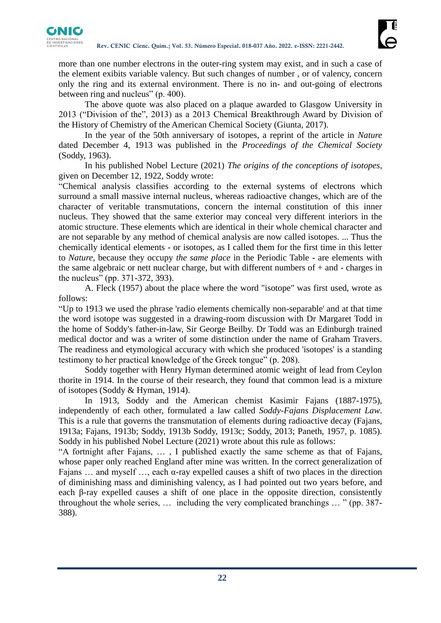

more than one number electrons in the outer-ring system may exist, and in such a case of the element exibits variable valency. But such changes of number , or of valency, concern only the ring and its external environment. There is no in- and out-going of electrons between ring and nucleus" (p. 400).

The above quote was also placed on a plaque awarded to Glasgow University in 2013 ("Division of the", 2013) as a 2013 Chemical Breakthrough Award by Division of the History of Chemistry of the American Chemical Society (Giunta, 2017).

In the year of the 50th anniversary of isotopes, a reprint of the article in *Nature*  dated December 4, 1913 was published in the *Proceedings of the Chemical Society*  (Soddy, 1963).

In his published Nobel Lecture (2021) *The origins of the conceptions of isotopes*, given on December 12, 1922, Soddy wrote:

"Chemical analysis classifies according to the external systems of electrons which surround a small massive internal nucleus, whereas radioactive changes, which are of the character of veritable transmutations, concern the internal constitution of this inner nucleus. They showed that the same exterior may conceal very different interiors in the atomic structure. These elements which are identical in their whole chemical character and are not separable by any method of chemical analysis are now called isotopes. ... Thus the chemically identical elements - or isotopes, as I called them for the first time in this letter to *Nature,* because they occupy *the same place* in the Periodic Table - are elements with the same algebraic or nett nuclear charge, but with different numbers of  $+$  and  $-$  charges in the nucleus" (pp. 371-372, 393).

A. Fleck (1957) about the place where the word "isotope" was first used, wrote as follows:

"Up to 1913 we used the phrase 'radio elements chemically non-separable' and at that time the word isotope was suggested in a drawing-room discussion with Dr Margaret Todd in the home of Soddy's father-in-law, Sir George Beilby. Dr Todd was an Edinburgh trained medical doctor and was a writer of some distinction under the name of Graham Travers. The readiness and etymological accuracy with which she produced 'isotopes' is a standing testimony to her practical knowledge of the Greek tongue" (p. 208).

Soddy together with Henry Hyman determined atomic weight of lead from Ceylon thorite in 1914. In the course of their research, they found that common lead is a mixture of isotopes (Soddy & Hyman, 1914).

In 1913, Soddy and the American chemist Kasimir Fajans (1887-1975), independently of each other, formulated a law called *Soddy-Fajans Displacement Law*. This is a rule that governs the transmutation of elements during radioactive decay (Fajans, 1913a; Fajans, 1913b; Soddy, 1913b Soddy, 1913c; Soddy, 2013; Paneth, 1957, p. 1085). Soddy in his published Nobel Lecture (2021) wrote about this rule as follows:

"A fortnight after Fajans, … , I published exactly the same scheme as that of Fajans, whose paper only reached England after mine was written. In the correct generalization of Fajans  $\ldots$  and myself  $\ldots$ , each  $\alpha$ -ray expelled causes a shift of two places in the direction of diminishing mass and diminishing valency, as I had pointed out two years before, and each β-ray expelled causes a shift of one place in the opposite direction, consistently throughout the whole series, … including the very complicated branchings … " (pp. 387- 388).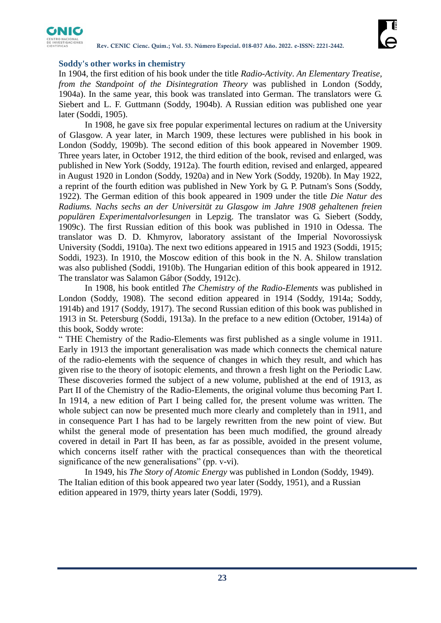

#### **Soddy's other works in chemistry**

In 1904, the first edition of his book under the title *Radio-Activity*. *An Elementary Treatise, from the Standpoint of the Disintegration Theory* was published in London (Soddy, 1904a). In the same year, this book was translated into German. The translators were G. Siebert and L. F. Guttmann (Soddy, 1904b). A Russian edition was published one year later (Soddi, 1905).

In 1908, he gave six free popular experimental lectures on radium at the University of Glasgow. A year later, in March 1909, these lectures were published in his book in London (Soddy, 1909b). The second edition of this book appeared in November 1909. Three years later, in October 1912, the third edition of the book, revised and enlarged, was published in New York (Soddy, 1912a). The fourth edition, revised and enlarged, appeared in August 1920 in London (Soddy, 1920a) and in New York (Soddy, 1920b). In May 1922, a reprint of the fourth edition was published in New York by G. P. Putnam's Sons (Soddy, 1922). The German edition of this book appeared in 1909 under the title *Die Natur des Radiums. Nachs sechs an der Universität zu Glasgow im Jahre 1908 gehaltenen freien populären Experimentalvorlesungen* in Lepzig. The translator was G. Siebert (Soddy, 1909c). The first Russian edition of this book was published in 1910 in Odessa. The translator was D. D. Khmyrov, laboratory assistant of the Imperial Novorossiysk University (Soddi, 1910a). The next two editions appeared in 1915 and 1923 (Soddi, 1915; Soddi, 1923). In 1910, the Moscow edition of this book in the N. A. Shilow translation was also published (Soddi, 1910b). The Hungarian edition of this book appeared in 1912. The translator was Salamon Gábor (Soddy, 1912c).

In 1908, his book entitled *The Chemistry of the Radio-Elements* was published in London (Soddy, 1908). The second edition appeared in 1914 (Soddy, 1914a; Soddy, 1914b) and 1917 (Soddy, 1917). The second Russian edition of this book was published in 1913 in St. Petersburg (Soddi, 1913a). In the preface to a new edition (October, 1914a) of this book, Soddy wrote:

" THE Chemistry of the Radio-Elements was first published as a single volume in 1911. Early in 1913 the important generalisation was made which connects the chemical nature of the radio-elements with the sequence of changes in which they result, and which has given rise to the theory of isotopic elements, and thrown a fresh light on the Periodic Law. These discoveries formed the subject of a new volume, published at the end of 1913, as Part II of the Chemistry of the Radio-Elements, the original volume thus becoming Part I. In 1914, a new edition of Part I being called for, the present volume was written. The whole subject can now be presented much more clearly and completely than in 1911, and in consequence Part I has had to be largely rewritten from the new point of view. But whilst the general mode of presentation has been much modified, the ground already covered in detail in Part II has been, as far as possible, avoided in the present volume, which concerns itself rather with the practical consequences than with the theoretical significance of the new generalisations" (pp. v-vi).

In 1949, his *The Story of Atomic Energy* was published in London (Soddy, 1949). The Italian edition of this book appeared two year later (Soddy, 1951), and a Russian edition appeared in 1979, thirty years later (Soddi, 1979).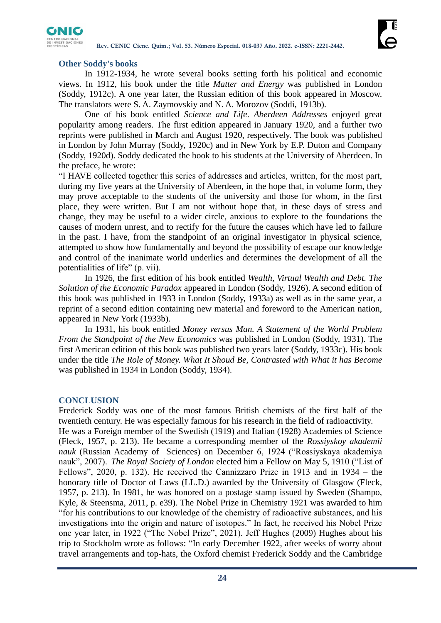

### **Other Soddy's books**

In 1912-1934, he wrote several books setting forth his political and economic views. In 1912, his book under the title *Matter and Energy* was published in London (Soddy, 1912c). A one year later, the Russian edition of this book appeared in Moscow. The translators were S. A. Zaymovskiy and N. A. Morozov (Soddi, 1913b).

One of his book entitled *Science and Life*. *Aberdeen Addresses* enjoyed great popularity among readers. The first edition appeared in January 1920, and a further two reprints were published in March and August 1920, respectively. The book was published in London by John Murray (Soddy, 1920c) and in New York by E.P. Duton and Company (Soddy, 1920d). Soddy dedicated the book to his students at the University of Aberdeen. In the preface, he wrote:

"I HAVE collected together this series of addresses and articles, written, for the most part, during my five years at the University of Aberdeen, in the hope that, in volume form, they may prove acceptable to the students of the university and those for whom, in the first place, they were written. But I am not without hope that, in these days of stress and change, they may be useful to a wider circle, anxious to explore to the foundations the causes of modern unrest, and to rectify for the future the causes which have led to failure in the past. I have, from the standpoint of an original investigator in physical science, attempted to show how fundamentally and beyond the possibility of escape our knowledge and control of the inanimate world underlies and determines the development of all the potentialities of life" (p. vii).

In 1926, the first edition of his book entitled *Wealth, Virtual Wealth and Debt. The Solution of the Economic Paradox* appeared in London (Soddy, 1926). A second edition of this book was published in 1933 in London (Soddy, 1933a) as well as in the same year, a reprint of a second edition containing new material and foreword to the American nation, appeared in New York (1933b).

In 1931, his book entitled *Money versus Man. A Statement of the World Problem From the Standpoint of the New Economics* was published in London (Soddy, 1931). The first American edition of this book was published two years later (Soddy, 1933c). His book under the title *The Role of Money. What It Shoud Be, Contrasted with What it has Become*  was published in 1934 in London (Soddy, 1934).

# **CONCLUSION**

Frederick Soddy was one of the most famous British chemists of the first half of the twentieth century. He was especially famous for his research in the field of radioactivity. He was a Foreign member of the Swedish (1919) and Italian (1928) Academies of Science (Fleck, 1957, p. 213). He became a corresponding member of the *Rossiyskoy akademii nauk* (Russian Academy of Sciences) on December 6, 1924 ("Rossiyskaya akademiya nauk", 2007). *The Royal Society of London* elected him a Fellow on May 5, 1910 ("List of Fellows", 2020, p. 132). He received the Cannizzaro Prize in 1913 and in 1934 – the honorary title of Doctor of Laws (LL.D.) awarded by the University of Glasgow (Fleck, 1957, p. 213). In 1981, he was honored on a postage stamp issued by Sweden (Shampo, Kyle, & Steensma, 2011, p. e39). The Nobel Prize in Chemistry 1921 was awarded to him "for his contributions to our knowledge of the chemistry of radioactive substances, and his investigations into the origin and nature of isotopes." In fact, he received his Nobel Prize one year later, in 1922 ("The Nobel Prize", 2021). Jeff Hughes (2009) Hughes about his trip to Stockholm wrote as follows: "In early December 1922, after weeks of worry about travel arrangements and top-hats, the Oxford chemist Frederick Soddy and the Cambridge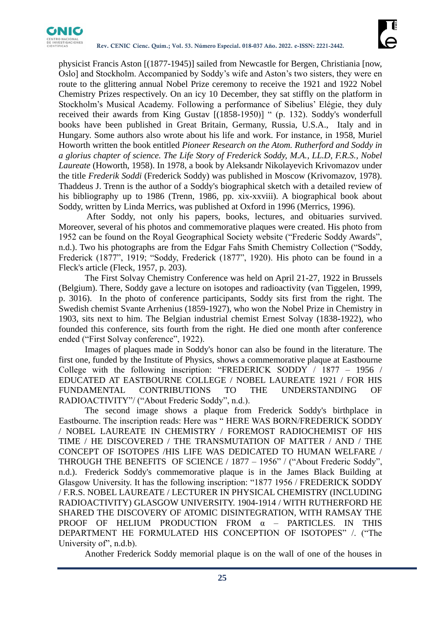physicist Francis Aston [(1877-1945)] sailed from Newcastle for Bergen, Christiania [now, Oslo] and Stockholm. Accompanied by Soddy's wife and Aston's two sisters, they were en route to the glittering annual Nobel Prize ceremony to receive the 1921 and 1922 Nobel Chemistry Prizes respectively. On an icy 10 December, they sat stiffly on the platform in Stockholm's Musical Academy. Following a performance of Sibelius' Elégie, they duly received their awards from King Gustav [(1858-1950)] " (p. 132). Soddy's wonderfull books have been published in Great Britain, Germany, Russia, U.S.A., Italy and in Hungary. Some authors also wrote about his life and work. For instance, in 1958, Muriel Howorth written the book entitled *Pioneer Research on the Atom. Rutherford and Soddy in a glorius chapter of science. The Life Story of Frederick Soddy, M.A., LL.D, F.R.S., Nobel Laureate* (Howorth, 1958). In 1978, a book by Aleksandr Nikolayevich Krivomazov under the title *Frederik Soddi* (Frederick Soddy) was published in Moscow (Krivomazov, 1978). Thaddeus J. Trenn is the author of a Soddy's biographical sketch with a detailed review of his bibliography up to 1986 (Trenn, 1986, pp. xix-xxviii). A biographical book about Soddy, written by Linda Merrics, was published at Oxford in 1996 (Merrics, 1996).

After Soddy, not only his papers, books, lectures, and obituaries survived. Moreover, several of his photos and commemorative plaques were created. His photo from 1952 can be found on the Royal Geographical Society website ("Frederic Soddy Awards", n.d.). Two his photographs are from the Edgar Fahs Smith Chemistry Collection ("Soddy, Frederick (1877", 1919; "Soddy, Frederick (1877", 1920). His photo can be found in a Fleck's article (Fleck, 1957, p. 203).

The First Solvay Chemistry Conference was held on April 21-27, 1922 in Brussels (Belgium). There, Soddy gave a lecture on isotopes and radioactivity (van Tiggelen, 1999, p. 3016). In the photo of conference participants, Soddy sits first from the right. The Swedish chemist Svante Arrhenius (1859-1927), who won the Nobel Prize in Chemistry in 1903, sits next to him. The Belgian industrial chemist Ernest Solvay (1838-1922), who founded this conference, sits fourth from the right. He died one month after conference ended ("First Solvay conference", 1922).

Images of plaques made in Soddy's honor can also be found in the literature. The first one, funded by the Institute of Physics, shows a commemorative plaque at Eastbourne College with the following inscription: "FREDERICK SODDY / 1877 – 1956 / EDUCATED AT EASTBOURNE COLLEGE / NOBEL LAUREATE 1921 / FOR HIS FUNDAMENTAL CONTRIBUTIONS TO THE UNDERSTANDING OF RADIOACTIVITY"/ ("About Frederic Soddy", n.d.).

The second image shows a plaque from Frederick Soddy's birthplace in Eastbourne. The inscription reads: Here was " HERE WAS BORN/FREDERICK SODDY / NOBEL LAUREATE IN CHEMISTRY / FOREMOST RADIOCHEMIST OF HIS TIME / HE DISCOVERED / THE TRANSMUTATION OF MATTER / AND / THE CONCEPT OF ISOTOPES /HIS LIFE WAS DEDICATED TO HUMAN WELFARE / THROUGH THE BENEFITS OF SCIENCE / 1877 – 1956" / ("About Frederic Soddy", n.d.). Frederick Soddy's commemorative plaque is in the James Black Building at Glasgow University. It has the following inscription: "1877 1956 / FREDERICK SODDY / F.R.S. NOBEL LAUREATE / LECTURER IN PHYSICAL CHEMISTRY (INCLUDING RADIOACTIVITY) GLASGOW UNIVERSITY. 1904-1914 / WITH RUTHERFORD HE SHARED THE DISCOVERY OF ATOMIC DISINTEGRATION, WITH RAMSAY THE PROOF OF HELIUM PRODUCTION FROM  $\alpha$  – PARTICLES. IN THIS DEPARTMENT HE FORMULATED HIS CONCEPTION OF ISOTOPES" /. ("The University of", n.d.b).

Another Frederick Soddy memorial plaque is on the wall of one of the houses in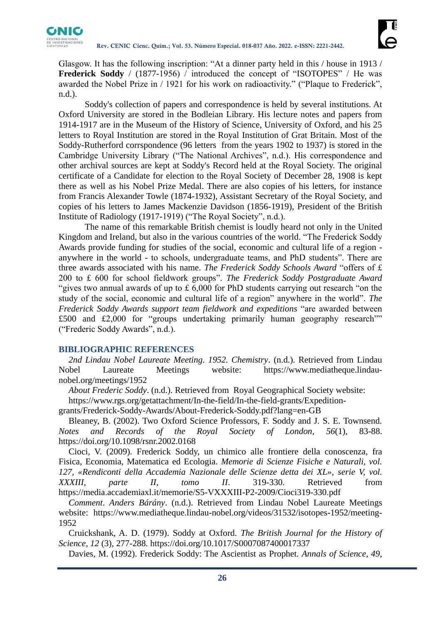

Glasgow. It has the following inscription: "At a dinner party held in this / house in 1913 / **Frederick Soddy** / (1877-1956) / introduced the concept of "ISOTOPES" / He was awarded the Nobel Prize in / 1921 for his work on radioactivity." ("Plaque to Frederick", n.d.).

Soddy's collection of papers and correspondence is held by several institutions. At Oxford University are stored in the Bodleian Library. His lecture notes and papers from 1914-1917 are in the Museum of the History of Science, University of Oxford, and his 25 letters to Royal Institution are stored in the Royal Institution of Grat Britain. Most of the Soddy-Rutherford corrspondence (96 letters from the years 1902 to 1937) is stored in the Cambridge University Library ("The National Archives", n.d.). His correspondence and other archival sources are kept at Soddy's Record held at the Royal Society. The original certificate of a Candidate for election to the Royal Society of December 28, 1908 is kept there as well as his Nobel Prize Medal. There are also copies of his letters, for instance from Francis Alexander Towle (1874-1932), Assistant Secretary of the Royal Society, and copies of his letters to James Mackenzie Davidson (1856-1919), President of the British Institute of Radiology (1917-1919) ("The Royal Society", n.d.).

The name of this remarkable British chemist is loudly heard not only in the United Kingdom and Ireland, but also in the various countries of the world. "The Frederick Soddy Awards provide funding for studies of the social, economic and cultural life of a region anywhere in the world - to schools, undergraduate teams, and PhD students". There are three awards associated with his name. *The Frederick Soddy Schools Award* "offers of £ 200 to £ 600 for school fieldwork groups". *The Frederick Soddy Postgraduate Award* "gives two annual awards of up to  $\pounds 6,000$  for PhD students carrying out research "on the study of the social, economic and cultural life of a region" anywhere in the world". *The Frederick Soddy Awards support team fieldwork and expeditions* "are awarded between £500 and £2,000 for "groups undertaking primarily human geography research"" ("Frederic Soddy Awards", n.d.).

# **BIBLIOGRAPHIC REFERENCES**

*2nd Lindau Nobel Laureate Meeting. 1952. Chemistry*. (n.d.). Retrieved from Lindau Nobel Laureate Meetings website: [https://www.mediatheque.lindau](https://www.mediatheque.lindau-nobel.org/meetings/1952)[nobel.org/meetings/1952](https://www.mediatheque.lindau-nobel.org/meetings/1952)

*About Frederic Soddy*. (n.d.). Retrieved from Royal Geographical Society website:

[https://www.rgs.org/getattachment/In-the-field/In-the-field-grants/Expedition-](https://www.rgs.org/getattachment/In-the-field/In-the-field-grants/Expedition-grants/Frederick-Soddy-Awards/About-Frederick-Soddy.pdf?lang=en-GB)

[grants/Frederick-Soddy-Awards/About-Frederick-Soddy.pdf?lang=en-GB](https://www.rgs.org/getattachment/In-the-field/In-the-field-grants/Expedition-grants/Frederick-Soddy-Awards/About-Frederick-Soddy.pdf?lang=en-GB)

Bleaney, B. (2002). Two Oxford Science Professors, F. Soddy and J. S. E. Townsend. *Notes and Records of the Royal Society of London*, *56*(1), 83-88. <https://doi.org/10.1098/rsnr.2002.0168>

Cioci, V. (2009). Frederick Soddy, un chimico alle frontiere della conoscenza, fra Fisica, Economia, Matematica ed Ecologia. *Memorie di Scienze Fisiche e Naturali, vol. 127, «Rendiconti della Accademia Nazionale delle Scienze detta dei XL»*, *serie V, vol. XXXIII, parte II, tomo II*. 319-330. Retrieved from <https://media.accademiaxl.it/memorie/S5-VXXXIII-P2-2009/Cioci319-330.pdf>

*Comment*. *Anders Bárány*. (n.d.). Retrieved from Lindau Nobel Laureate Meetings website: [https://www.mediatheque.lindau-nobel.org/videos/31532/isotopes-1952/meeting-](https://www.mediatheque.lindau-nobel.org/videos/31532/isotopes-1952/meeting-1952)[1952](https://www.mediatheque.lindau-nobel.org/videos/31532/isotopes-1952/meeting-1952)

Cruickshank, A. D. (1979). Soddy at Oxford. *The British Journal for the History of Science*, *12* (3), 277-288.<https://doi.org/10.1017/S0007087400017337>

Davies, M. (1992). Frederick Soddy: The Ascientist as Prophet. *Annals of Science*, *49*,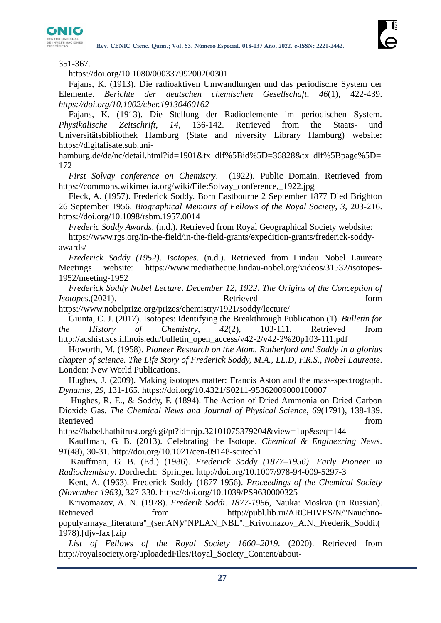

351-367.

<https://doi.org/10.1080/00033799200200301>

Fajans, K. (1913). Die radioaktiven Umwandlungen und das periodische System der Elemente. *Berichte der deutschen chemischen Gesellschaft*, *46*(1), 422-439. *<https://doi.org/10.1002/cber.19130460162>*

Fajans, K. (1913). Die Stellung der Radioelemente im periodischen System. *Physikalische Zeitschrift*, *14*, 136-142. Retrieved from the Staats- und Universitätsbibliothek Hamburg (State and niversity Library Hamburg) website: [https://digitalisate.sub.uni-](https://digitalisate.sub.uni-hamburg.de/de/nc/detail.html?id=1901&tx_dlf%5Bid%5D=36828&tx_dlf%5Bpage%5D=172)

[hamburg.de/de/nc/detail.html?id=1901&tx\\_dlf%5Bid%5D=36828&tx\\_dlf%5Bpage%5D=](https://digitalisate.sub.uni-hamburg.de/de/nc/detail.html?id=1901&tx_dlf%5Bid%5D=36828&tx_dlf%5Bpage%5D=172) [172](https://digitalisate.sub.uni-hamburg.de/de/nc/detail.html?id=1901&tx_dlf%5Bid%5D=36828&tx_dlf%5Bpage%5D=172)

*First Solvay conference on Chemistry*. (1922). Public Domain. Retrieved from [https://commons.wikimedia.org/wiki/File:Solvay\\_conference,\\_1922.jpg](https://commons.wikimedia.org/wiki/File:Solvay_conference,_1922.jpg)

Fleck, A. (1957). Frederick Soddy. Born Eastbourne 2 September 1877 Died Brighton 26 September 1956. *Biographical Memoirs of Fellows of the Royal Society*, *3*, 203-216. <https://doi.org/10.1098/rsbm.1957.0014>

*Frederic Soddy Awards*. (n.d.). Retrieved from Royal Geographical Society webdsite:

[https://www.rgs.org/in-the-field/in-the-field-grants/expedition-grants/frederick-soddy](https://www.rgs.org/in-the-field/in-the-field-grants/expedition-grants/frederick-soddy-awards/)[awards/](https://www.rgs.org/in-the-field/in-the-field-grants/expedition-grants/frederick-soddy-awards/)

*Frederick Soddy (1952)*. *Isotopes*. (n.d.). Retrieved from Lindau Nobel Laureate Meetings website: [https://www.mediatheque.lindau-nobel.org/videos/31532/isotopes-](https://www.mediatheque.lindau-nobel.org/videos/31532/isotopes-1952/meeting-1952)[1952/meeting-1952](https://www.mediatheque.lindau-nobel.org/videos/31532/isotopes-1952/meeting-1952)

*Frederick Soddy Nobel Lecture*. *December 12, 1922*. *The Origins of the Conception of Isotopes*.(2021). Retrieved form

<https://www.nobelprize.org/prizes/chemistry/1921/soddy/lecture/>

Giunta, C. J. (2017). Isotopes: Identifying the Breakthrough Publication (1). *Bulletin for the History of Chemistry*, *42*(2), 103-111. Retrieved from [http://acshist.scs.illinois.edu/bulletin\\_open\\_access/v42-2/v42-2%20p103-111.pdf](http://acshist.scs.illinois.edu/bulletin_open_access/v42-2/v42-2%20p103-111.pdf)

Howorth, M. (1958). *Pioneer Research on the Atom. Rutherford and Soddy in a glorius chapter of science. The Life Story of Frederick Soddy, M.A., LL.D, F.R.S., Nobel Laureate*. London: New World Publications.

Hughes, J. (2009). Making isotopes matter: Francis Aston and the mass-spectrograph. *Dynamis*, *29*, 131-165.<https://doi.org/10.4321/S0211-95362009000100007>

Hughes, R. E., & Soddy, F. (1894). The Action of Dried Ammonia on Dried Carbon Dioxide Gas. *The Chemical News and Journal of Physical Science*, *69*(1791), 138-139. Retrieved from the state of the state of the state of the state of the state of the state of the state of the state of the state of the state of the state of the state of the state of the state of the state of the state of

<https://babel.hathitrust.org/cgi/pt?id=njp.32101075379204&view=1up&seq=144>

Kauffman, G. B. (2013). Celebrating the Isotope. *Chemical & Engineering News*. *91*(48), 30-31.<http://doi.org/10.1021/cen-09148-scitech1>

Kauffman, G. B. (Ed.) (1986). *Frederick Soddy (1877–1956)*. *Early Pioneer in Radiochemistry*. Dordrecht: Springer.<http://doi.org/10.1007/978-94-009-5297-3>

Kent, A. (1963). Frederick Soddy (1877-1956). *Proceedings of the Chemical Society (November 1963)*, 327-330.<https://doi.org/10.1039/PS9630000325>

Krivomazov, A. N. (1978). *Frederik Soddi. 1877-1956*, Nauka: Moskva (in Russian). Retrieved from http://publ.lib.ru/ARCHIVES/N/"Nauchno[populyarnaya\\_literatura''\\_\(ser.AN\)/''NPLAN\\_NBL''.\\_Krivomazov\\_A.N.\\_Frederik\\_Soddi.\(](http://publ.lib.ru/ARCHIVES/N/) [1978\).\[djv-fax\].zip](http://publ.lib.ru/ARCHIVES/N/)

*List of Fellows of the Royal Society 1660–2019*. (2020). Retrieved from [http://royalsociety.org/uploadedFiles/Royal\\_Society\\_Content/about-](http://royalsociety.org/uploadedFiles/Royal_Society_Content/about-us/fellowship/Fellows1660-2019.pdf)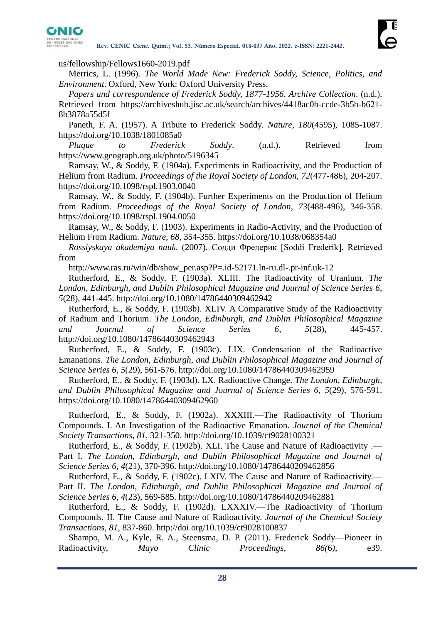

[us/fellowship/Fellows1660-2019.pdf](http://royalsociety.org/uploadedFiles/Royal_Society_Content/about-us/fellowship/Fellows1660-2019.pdf)

Merrics, L. (1996). *The World Made New: Frederick Soddy, Science, Politics, and Environment*. Oxford, New York: Oxford University Press.

*Papers and correspondence of Frederick Soddy, 1877-1956*. *Archive Collection*. (n.d.). Retrieved from [https://archiveshub.jisc.ac.uk/search/archives/4418ac0b-ccde-3b5b-b621-](https://archiveshub.jisc.ac.uk/search/archives/4418ac0b-ccde-3b5b-b621-8b3878a55d5f) [8b3878a55d5f](https://archiveshub.jisc.ac.uk/search/archives/4418ac0b-ccde-3b5b-b621-8b3878a55d5f)

Paneth, F. A. (1957). A Tribute to Frederick Soddy. *Nature*, *180*(4595), 1085-1087. <https://doi.org/10.1038/1801085a0>

*Plaque to Frederick Soddy*. (n.d.). Retrieved from <https://www.geograph.org.uk/photo/5196345>

Ramsay, W., & Soddy, F. (1904a). Experiments in Radioactivity, and the Production of Helium from Radium. *Proceedings of the Royal Society of London*, *72*(477-486), 204-207. <https://doi.org/10.1098/rspl.1903.0040>

Ramsay, W., & Soddy, F. (1904b). Further Experiments on the Production of Helium from Radium. *Proceedings of the Royal Society of London*, *73*(488-496), 346-358. <https://doi.org/10.1098/rspl.1904.0050>

Ramsay, W., & Soddy, F. (1903). Experiments in Radio-Activity, and the Production of Helium From Radium. *Nature*, *68*, 354-355.<https://doi.org/10.1038/068354a0>

*Rossiyskaya akademiya nauk*. (2007). Содди Фредерик [Soddi Frederik]. Retrieved from

[http://www.ras.ru/win/db/show\\_per.asp?P=.id-52171.ln-ru.dl-.pr-inf.uk-12](http://www.ras.ru/win/db/show_per.asp?P=.id-52171.ln-ru.dl-.pr-inf.uk-12)

Rutherford, E., & Soddy, F. (1903a). XLIII. The Radioactivity of Uranium. *The London, Edinburgh, and Dublin Philosophical Magazine and Journal of Science Series 6*, *5*(28), 441-445.<http://doi.org/10.1080/14786440309462942>

Rutherford, E., & Soddy, F. (1903b). XLIV. A Comparative Study of the Radioactivity of Radium and Thorium. *The London, Edinburgh, and Dublin Philosophical Magazine and Journal of Science Series 6*, *5*(28), 445-457. <http://doi.org/10.1080/14786440309462943>

Rutherford, E., & Soddy, F. (1903c). LIX. Condensation of the Radioactive Emanations. *The London, Edinburgh, and Dublin Philosophical Magazine and Journal of Science Series 6*, *5*(29), 561-576.<http://doi.org/10.1080/14786440309462959>

Rutherford, E., & Soddy, F. (1903d). LX. Radioactive Change. *The London, Edinburgh, and Dublin Philosophical Magazine and Journal of Science Series 6*, *5*(29), 576-591. <https://doi.org/10.1080/14786440309462960>

Rutherford, E., & Soddy, F. (1902a). XXXIII.—The Radioactivity of Thorium Compounds. I. An Investigation of the Radioactive Emanation. *Journal of the Chemical Society Transactions*, *81*, 321-350.<http://doi.org/10.1039/ct9028100321>

Rutherford, E., & Soddy, F. (1902b). XLI. The Cause and Nature of Radioactivity .— Part I. *The London, Edinburgh, and Dublin Philosophical Magazine and Journal of Science Series 6*, *4*(21), 370-396.<http://doi.org/10.1080/14786440209462856>

Rutherford, E., & Soddy, F. (1902c). LXIV. The Cause and Nature of Radioactivity.— Part II. *The London, Edinburgh, and Dublin Philosophical Magazine and Journal of Science Series 6*, *4*(23), 569-585.<http://doi.org/10.1080/14786440209462881>

Rutherford, E., & Soddy, F. (1902d). LXXXIV.—The Radioactivity of Thorium Compounds. II. The Cause and Nature of Radioactivity. *Journal of the Chemical Society Transactions*, *81*, 837-860.<http://doi.org/10.1039/ct9028100837>

Shampo, M. A., Kyle, R. A., Steensma, D. P. (2011). Frederick Soddy—Pioneer in Radioactivity, *Mayo Clinic Proceedings*, *86(*6*)*, e39.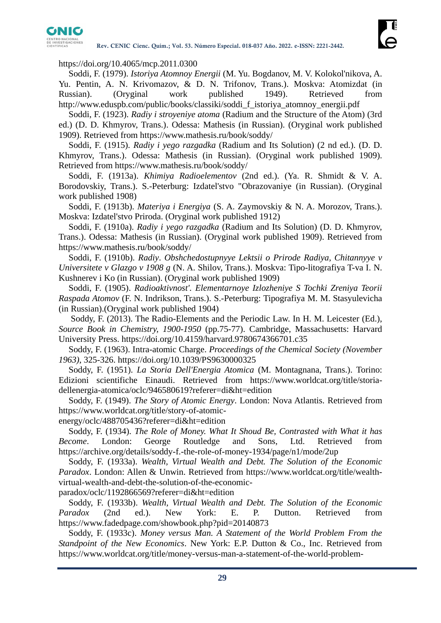

<https://doi.org/10.4065/mcp.2011.0300>

Soddi, F. (1979). *Istoriya Atomnoy Energii* (M. Yu. Bogdanov, M. V. Kolokol'nikova, A. Yu. Pentin, A. N. Krivomazov, & D. N. Trifonov, Trans.). Moskva: Atomizdat (in Russian). (Oryginal work published 1949). Retrieved from [http://www.eduspb.com/public/books/classiki/soddi\\_f\\_istoriya\\_atomnoy\\_energii.pdf](http://www.eduspb.com/public/books/classiki/soddi_f_istoriya_atomnoy_energii.pdf)

Soddi, F. (1923). *Radiy i stroyeniye atoma* (Radium and the Structure of the Atom) (3rd ed.) (D. D. Khmyrov, Trans.). Odessa: Mathesis (in Russian). (Oryginal work published 1909). Retrieved from<https://www.mathesis.ru/book/soddy/>

Soddi, F. (1915). *Radiy i yego razgadka* (Radium and Its Solution) (2 nd ed.). (D. D. Khmyrov, Trans.). Odessa: Mathesis (in Russian). (Oryginal work published 1909). Retrieved from<https://www.mathesis.ru/book/soddy/>

Soddi, F. (1913a). *Khimiya Radioelementov* (2nd ed.). (Ya. R. Shmidt & V. A. Borodovskiy, Trans.). S.-Peterburg: Izdatel'stvo "Obrazovaniye (in Russian). (Oryginal work published 1908)

Soddi, F. (1913b). *Materiya i Energiya* (S. A. Zaymovskiy & N. A. Morozov, Trans.). Moskva: Izdatel'stvo Priroda. (Oryginal work published 1912)

Soddi, F. (1910a). *Radiy i yego razgadka* (Radium and Its Solution) (D. D. Khmyrov, Trans.). Odessa: Mathesis (in Russian). (Oryginal work published 1909). Retrieved from <https://www.mathesis.ru/book/soddy/>

Soddi, F. (1910b). *Radiy*. *Obshchedostupnyye Lektsii o Prirode Radiya, Chitannyye v Universitete v Glazgo v 1908 g* (N. A. Shilov, Trans.). Moskva: Tipo-litografiya T-va I. N. Kushnerev i Ko (in Russian). (Oryginal work published 1909)

Soddi, F. (1905). *Radioaktivnost'. Elementarnoye Izlozheniye S Tochki Zreniya Teorii Raspada Atomov* (F. N. Indrikson, Trans.). S.-Peterburg: Tipografiya M. M. Stasyulevicha (in Russian).(Oryginal work published 1904)

Soddy, F. (2013). The Radio-Elements and the Periodic Law. In H. M. Leicester (Ed.), *Source Book in Chemistry, 1900-1950* (pp.75-77). Cambridge, Massachusetts: Harvard University Press.<https://doi.org/10.4159/harvard.9780674366701.c35>

Soddy, F. (1963). Intra-atomic Charge. *Proceedings of the Chemical Society (November 1963)*, 325-326.<https://doi.org/10.1039/PS9630000325>

Soddy, F. (1951). *La Storia Dell'Energia Atomica* (M. Montagnana, Trans.). Torino: Edizioni scientifiche Einaudi. Retrieved from [https://www.worldcat.org/title/storia](https://www.worldcat.org/title/storia-dellenergia-atomica/oclc/946580619?referer=di&ht=edition)[dellenergia-atomica/oclc/946580619?referer=di&ht=edition](https://www.worldcat.org/title/storia-dellenergia-atomica/oclc/946580619?referer=di&ht=edition)

Soddy, F. (1949). *The Story of Atomic Energy*. London: Nova Atlantis. Retrieved from [https://www.worldcat.org/title/story-of-atomic-](https://www.worldcat.org/title/story-of-atomic-energy/oclc/488705436?referer=di&ht=edition)

[energy/oclc/488705436?referer=di&ht=edition](https://www.worldcat.org/title/story-of-atomic-energy/oclc/488705436?referer=di&ht=edition)

Soddy, F. (1934). *The Role of Money. What It Shoud Be, Contrasted with What it has Become*. London: George Routledge and Sons, Ltd. Retrieved from <https://archive.org/details/soddy-f.-the-role-of-money-1934/page/n1/mode/2up>

Soddy, F. (1933a). *Wealth, Virtual Wealth and Debt. The Solution of the Economic Paradox*. London: Allen & Unwin. Retrieved from [https://www.worldcat.org/title/wealth](https://www.worldcat.org/title/wealth-virtual-wealth-and-debt-the-solution-of-the-economic-paradox/oclc/1192866569?referer=di&ht=edition)[virtual-wealth-and-debt-the-solution-of-the-economic-](https://www.worldcat.org/title/wealth-virtual-wealth-and-debt-the-solution-of-the-economic-paradox/oclc/1192866569?referer=di&ht=edition)

[paradox/oclc/1192866569?referer=di&ht=edition](https://www.worldcat.org/title/wealth-virtual-wealth-and-debt-the-solution-of-the-economic-paradox/oclc/1192866569?referer=di&ht=edition)

Soddy, F. (1933b). *Wealth, Virtual Wealth and Debt. The Solution of the Economic Paradox* (2nd ed.). New York: E. P. Dutton. Retrieved from <https://www.fadedpage.com/showbook.php?pid=20140873>

Soddy, F. (1933c). *Money versus Man. A Statement of the World Problem From the Standpoint of the New Economics*. New York: E.P. Dutton & Co., Inc. Retrieved from [https://www.worldcat.org/title/money-versus-man-a-statement-of-the-world-problem-](https://www.worldcat.org/title/money-versus-man-a-statement-of-the-world-problem-from-the-standpoint-of-the-new-economics/oclc/4048972)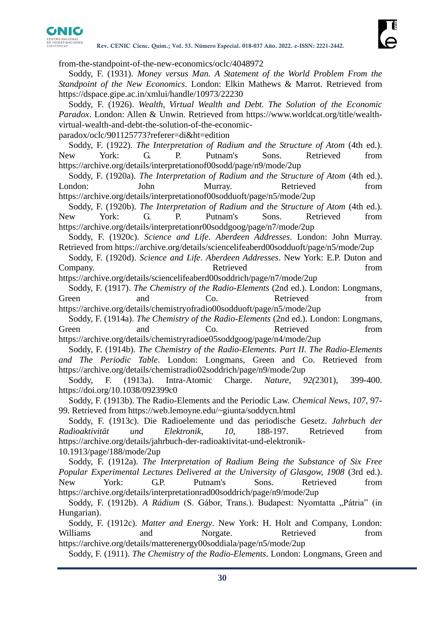

[from-the-standpoint-of-the-new-economics/oclc/4048972](https://www.worldcat.org/title/money-versus-man-a-statement-of-the-world-problem-from-the-standpoint-of-the-new-economics/oclc/4048972)

Soddy, F. (1931). *Money versus Man. A Statement of the World Problem From the Standpoint of the New Economics*. London: Elkin Mathews & Marrot. Retrieved from <https://dspace.gipe.ac.in/xmlui/handle/10973/22230>

Soddy, F. (1926). *Wealth, Virtual Wealth and Debt. The Solution of the Economic Paradox*. London: Allen & Unwin. Retrieved from [https://www.worldcat.org/title/wealth](https://www.worldcat.org/title/wealth-virtual-wealth-and-debt-the-solution-of-the-economic-paradox/oclc/901125773?referer=di&ht=edition)[virtual-wealth-and-debt-the-solution-of-the-economic-](https://www.worldcat.org/title/wealth-virtual-wealth-and-debt-the-solution-of-the-economic-paradox/oclc/901125773?referer=di&ht=edition)

[paradox/oclc/901125773?referer=di&ht=edition](https://www.worldcat.org/title/wealth-virtual-wealth-and-debt-the-solution-of-the-economic-paradox/oclc/901125773?referer=di&ht=edition)

Soddy, F. (1922). *The Interpretation of Radium and the Structure of Atom* (4th ed.). New York: G. P. Putnam's Sons. Retrieved from <https://archive.org/details/interpretationof00sodd/page/n9/mode/2up>

Soddy, F. (1920a). *The Interpretation of Radium and the Structure of Atom (4th ed.)*. London: John Murray. Retrieved from <https://archive.org/details/interpretationof00sodduoft/page/n5/mode/2up>

Soddy, F. (1920b). *The Interpretation of Radium and the Structure of Atom (4th ed.)*. New York: G. P. Putnam's Sons. Retrieved from <https://archive.org/details/interpretationr00soddgoog/page/n7/mode/2up>

Soddy, F. (1920c). *Science and Life*. *Aberdeen Addresses*. London: John Murray. Retrieved from<https://archive.org/details/sciencelifeaberd00sodduoft/page/n5/mode/2up>

Soddy, F. (1920d). *Science and Life*. *Aberdeen Addresses*. New York: E.P. Duton and Company. Company. **Retrieved** from

<https://archive.org/details/sciencelifeaberd00soddrich/page/n7/mode/2up>

Soddy, F. (1917). *The Chemistry of the Radio-Elements* (2nd ed.). London: Longmans, Green and Co. Retrieved from <https://archive.org/details/chemistryofradio00sodduoft/page/n5/mode/2up>

Soddy, F. (1914a). *The Chemistry of the Radio-Elements* (2nd ed.). London: Longmans, Green and Co. Retrieved from

<https://archive.org/details/chemistryradioe05soddgoog/page/n4/mode/2up>

Soddy, F. (1914b). *The Chemistry of the Radio-Elements. Part II. The Radio-Elements and The Periodic Table*. London: Longmans, Green and Co. Retrieved from <https://archive.org/details/chemistradio02soddrich/page/n9/mode/2up>

Soddy, F. (1913a). Intra-Atomic Charge. *Nature*, *92(*2301), 399-400. <https://doi.org/10.1038/092399c0>

Soddy, F. (1913b). The Radio-Elements and the Periodic Law. *Chemical News*, *107*, 97- 99. Retrieved from<https://web.lemoyne.edu/~giunta/soddycn.html>

Soddy, F. (1913c). Die Radioelemente und das periodische Gesetz. *Jahrbuch der Radioaktivität und Elektronik*, *10*, 188-197. Retrieved from [https://archive.org/details/jahrbuch-der-radioaktivitat-und-elektronik-](https://archive.org/details/jahrbuch-der-radioaktivitat-und-elektronik-10.1913/page/188/mode/2up)[10.1913/page/188/mode/2up](https://archive.org/details/jahrbuch-der-radioaktivitat-und-elektronik-10.1913/page/188/mode/2up)

Soddy, F. (1912a). *The Interpretation of Radium Being the Substance of Six Free Popular Experimental Lectures Delivered at the University of Glasgow, 1908 (3rd ed.).* New York: G.P. Putnam's Sons. Retrieved from <https://archive.org/details/interpretationrad00soddrich/page/n9/mode/2up>

Soddy, F. (1912b). *A Rádium* (S. Gábor, Trans.). Budapest: Nyomtatta "Pátria" (in Hungarian).

Soddy, F. (1912c). *Matter and Energy*. New York: H. Holt and Company, London: Williams and Norgate. Retrieved from https://archive.org/details/matterenergy00soddiala/page/n5/mode/2up

Soddy, F. (1911). *The Chemistry of the Radio-Elements*. London: Longmans, Green and